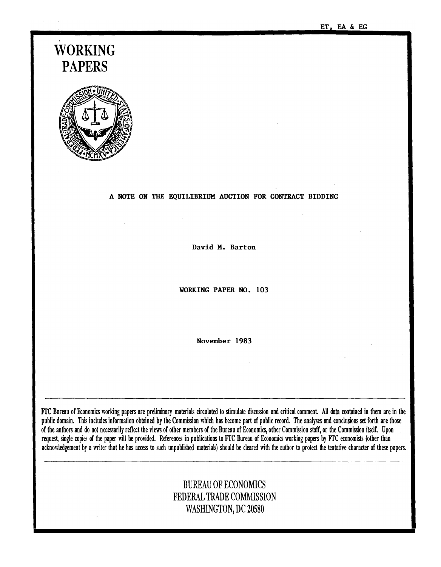ET, EA & EG

# WORKING PAPERS



#### A NOTE ON THE EQUILIBRIUM AUCTION FOR CONTRACT BIDDING

David M. Barton

WORKING PAPER NO. 103

November 1983

FrC Bureau of Economics working papers are preliminary materials circulated to stimulate discussion and critical comment All data contained in them are in the public domain. This includes information obtained by the Commission which has become part of public record. The analyses and conclusions set forth are those of the authors and do not necessarily reflect the views of other members of the Bureau of Economics, other Commission staff, or the Commission itself. Upon request, single copies of the paper will be provided. References in publications to FfC Bureau of Economics working papers by FfC economists (other than acknowledgement by a writer that he has access to such unpublished materials) should be cleared with the author to protect the tentative character of these papers.

## BUREAU OF ECONOMICS FEDERAL TRADE COMMISSION WASHINGTON, DC 20580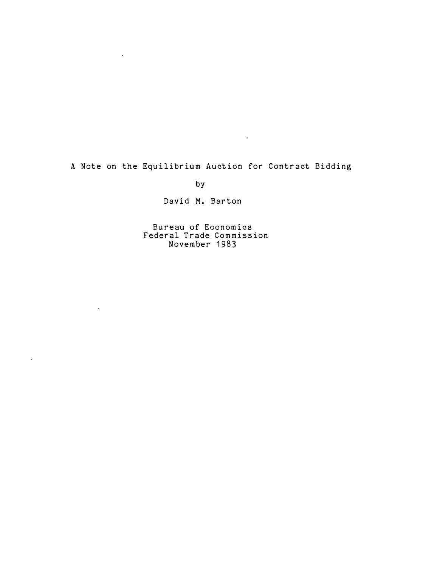A Note on the Equilibrium Auction for Contract Bidding

 $\mathcal{L}^{\text{max}}_{\text{max}}$  and  $\mathcal{L}^{\text{max}}_{\text{max}}$ 

by

 $\sim 100$  km s  $^{-1}$ 

 $\sim 10^{11}$ 

 $\mathcal{L}^{\pm}$ 

David M. Barton

Bureau of Economics Federal Trade Commission November 1983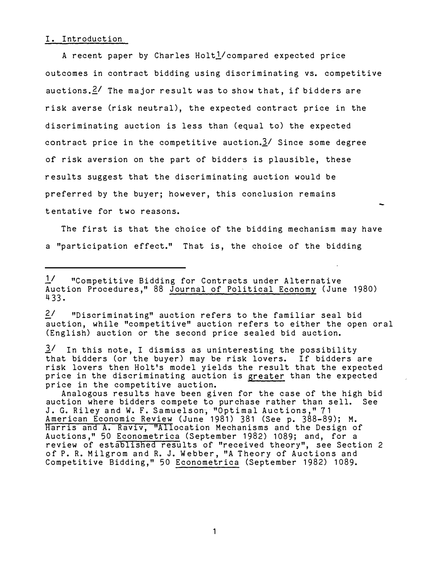#### I. Introduction

A recent paper by Charles Holt<sup>1</sup>/compared expected price outcomes in contract bidding using discriminating vs. competitive au ctions.  $\leq$  The major result was to show that, if bidders are risk averse (risk neutral), the expected contract price in the discriminating auction is less than (equal to) the expected contract price in the competitive auction.3/ Since some degree of risk aversion on the part of bidders is plausible, these results suggest that the discriminating auction would be preferred by the buyer; however, this conclusion remains tentative for two reasons.

The first is that the choice of the bidding mechanism may have a "participation effect." That is, the choice of the bidding

2/ "Discriminating" auction refers to the familiar seal bid auction, while "competitive" auction refers to either the open oral (English) auction or the second price sealed bid auction.

price in the discriminating auction is greater than the expected  $3'$  In this note, I dismiss as uninteresting the possibility that bidders (or the buyer) may be risk lovers. If bidders are risk lovers then Holt's model yields the result that the expected price in the competitive auction.

J. G. Riley and W. F. Samuelson, " Optimal Auctions ," 71 American Economic Review (June 1981) 381 (See p. 388-89); M. Harris and A. Raviv, "Allocation Mechanisms and the Design of Auctions," 50 Econometrica (September 1982) 1089; and, for a review of established results of "received theory", see Section 2 of P. R. Milgrom and R. J. Webber, "A Theory of Auctions and Competitive Bidding," 50 Econometrica (September 1982) 1089. Analogous results have been given for the case of the high bid auction where bidders compete to pur chase rather than sell. See

Auction Procedures," 88 Journal of Political Economy (June 1980)  $1/$  "Competitive Bidding for Contracts under Alternative 433.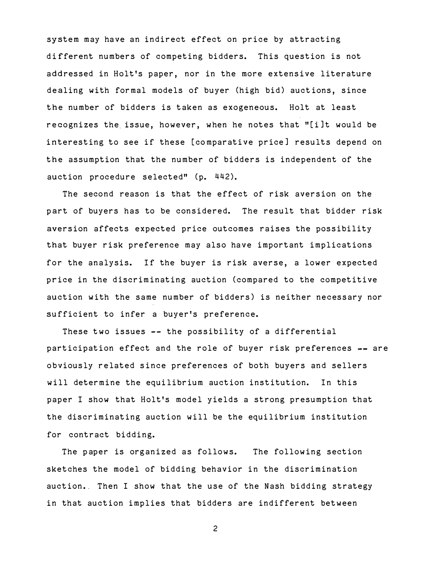system may have an indirect effect on price by attracting di fferent numbers of competing bidders. This question is not addressed in Holt's paper, nor in the more extensive literature dealing with formal models of buyer (high bid) auctions, since the number of bidders is taken as exogeneous. Holt at least recognizes the. issue, however, when he notes that "[i]t would be interesting to see if these [comparative price] results depend on the assumption that the number of bidders is independent of the auction procedure selected" (p. 442).

The second reason is that the effect of risk aversion on the part of buyers has to be considered. The result that bidder risk aversion affects expected price outcomes raises the possibility that buyer risk preference may also have important implications for the analysis. If the buyer is risk averse, a lower expected price in the discriminating auction (compared to the competitive auction with the same number of bidders) is neither necessary nor sufficient to infer a buyer's preference.

These two issues -- the possibility of a differential participation effect and the role of buyer risk preferences -- are obviously related since preferences of both buyers and sellers will determine the equilibrium auction institution. In this paper I show that Holt's model yields a strong presumption that the discriminating auction will be the equilibrium institution for contract bidding.

The paper is organized as follows. The following section sketches the model of bidding behavior in the discrimination auction. Then I show that the use of the Nash bidding strategy in that auction implies that bidders are indifferent between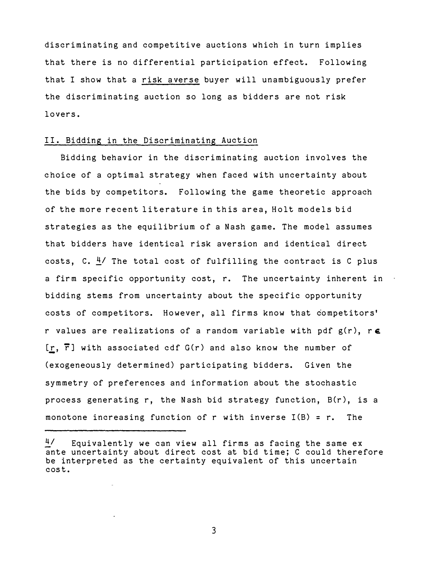discriminating and competitive auctions which in turn implies that there is no differential participation effect. Following that I show that a risk averse buyer will unambiguously prefer the discriminating auction so long as bidders are not risk lovers .

#### II. Bidding in the Discriminating Auction

Bidding behavior in the discriminating auction involves the choice of a optimal strategy when faced with uncertainty about the bids by competitors. Following the game theoretic approach of the more recent literature in this area, Holt models bid strategies as the equilibrium of a Nash game. The model assumes that bidders have identical risk aversion and identical direct costs, C.  $4/$  The total cost of fulfilling the contract is C plus a firm specific opportunity cost, r. The uncertainty inherent in bidding stems from uncertainty about the specific opportunity costs of competitors. However, all firms know that competitors' r values are realizations of a random variable with pdf  $g(r)$ , re  $[r, \overline{r}]$  with associated cdf  $G(r)$  and also know the number of (exogeneously determined) participating bidders. Given the symmetry of preferences and information about the stochastic process generating r, the Nash bid strategy function,  $B(r)$ , is a monotone increasing function of r with inverse  $I(B) = r$ . The

 $4/$  Equivalently we can view all firms as facing the same ex ante uncertainty about direct cost at bid time; C could therefore be interpreted as the certainty equivalent of this uncertain cost.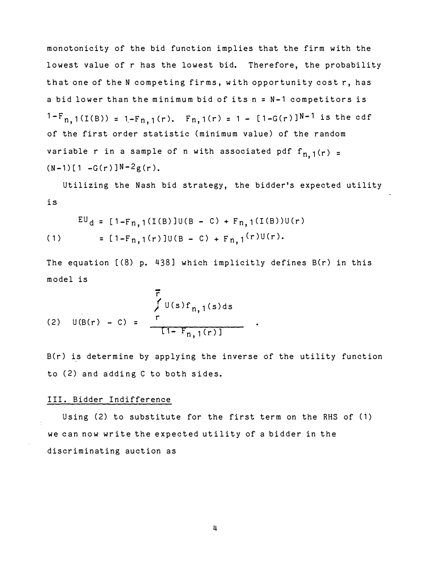$1-F_{n,1}(I(B)) = 1-F_{n,1}(r)$ .  $F_{n,1}(r) = 1 - [1-G(r)]^{N-1}$  is the cdf monotonicity of the bid function implies that the firm with the lowest value of r has the lowest bid. Therefore, the probability that one of the N competing firms, with opportunity cost r, has a bid lower than the minimum bid of its n = N-1 competitors is of the first order statistic (minimum value) of the random variable r in a sample of n with associated pdf  $f_{n, 1}(r)$  =  $(N-1)[1 - G(r)]N-2g(r)$ .

Utilizing the Nash bid strategy, the bidder's expected utility is

$$
EU_d = [1 - F_{n,1}(I(B)]U(B - C) + F_{n,1}(I(B))U(r)
$$
  
(1) = [1 - F\_{n,1}(r)]U(B - C) + F\_{n,1}(r)U(r).

The equation [(8) p. 438] which implicitly defines B(r) in this model is

(2) 
$$
U(B(r) - C) =
$$
  
\n
$$
\begin{array}{c}\nF \\
\int U(s) f_{n,1}(s) ds \\
T1 - F_{n,1}(r)\n\end{array}
$$

B(r) is determine by applying the inverse of the utility function to (2) and adding C to both sides.

#### III. Bidder Indifference

Using (2) to substitute for the first term on the RHS of (1) discriminating auction as we can now write the expected utility of a bidder in the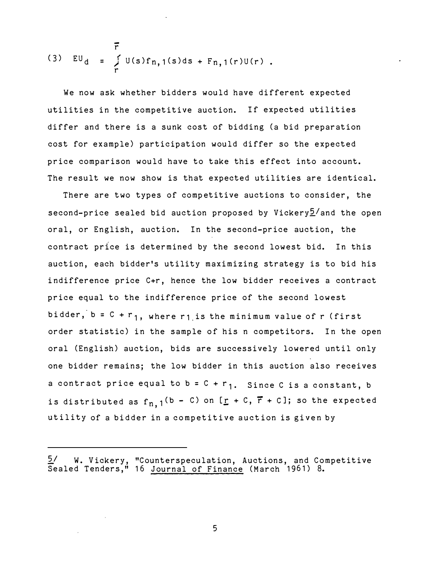$$
(3) \quad EU_d = \int\limits_r^{\overline{r}} U(s)f_{n,1}(s)ds + F_{n,1}(r)U(r).
$$

We now ask whether bidders would have different expected utilities in the competitive auction. If expected utilities differ and there is a sunk cost of bidding (a bid preparation cost for example) participation would differ so the expected price comparison would have to take this effect into account. The result we now show is that expected utilities are identical.

There are two types of competitive auctions to consider, the second-price sealed bid auction proposed by Vickery $5/$  and the open oral, or English, auction. In the second-price auction, the contract price is determined by the second lowest bid. In this auction, each bidder's utility maximizing strategy is to bid his indifference price C+r, hence the low bidder receives a contract price equal to the indifference price of the second lowest bidder,  $b = C + r_1$ , where r1 is the minimum value of r (first order statistic) in the sample of his n competitors. In the open oral (English) auction, bids are successively lowered until only one bidder remains; the low bidder in this auction also receives a contract price equal to  $b = C + r_1$ . Since C is a constant, b is distributed as  $f_{n, 1}$ <sup>(b - C)</sup> on [ $\underline{r}$  + C,  $\overline{r}$  + C]; so the expected utility of a bidder in a competitive auction is given by

 $5/$  W. Vickery, "Counterspeculation, Auctions, and Competitive Sealed Tenders," 16 Journal of Finance (March 1961) 8.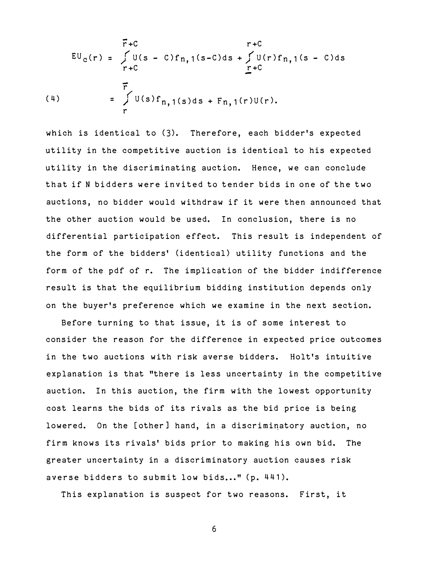$$
\begin{array}{rcl}\nF + C & r + C \\
EU_c(r) &=& \int U(s - C)f_{n,1}(s - C)ds + \int U(r)f_{n,1}(s - C)ds \\
r + C & & r + C\n\end{array}
$$
\n
$$
\begin{array}{rcl}\n\overline{r} \\
\overline{r} \\
\overline{r} \\
\overline{r} \\
\overline{r} \\
\overline{r} \\
\overline{r} \\
\overline{r} \\
\overline{r} \\
\overline{r} \\
\overline{r} \\
\overline{r} \\
\overline{r} \\
\overline{r} \\
\overline{r} \\
\overline{r} \\
\overline{r} \\
\overline{r} \\
\overline{r} \\
\overline{r} \\
\overline{r} \\
\overline{r} \\
\overline{r} \\
\overline{r} \\
\overline{r} \\
\overline{r} \\
\overline{r} \\
\overline{r} \\
\overline{r} \\
\overline{r} \\
\overline{r} \\
\overline{r} \\
\overline{r} \\
\overline{r} \\
\overline{r} \\
\overline{r} \\
\overline{r} \\
\overline{r} \\
\overline{r} \\
\overline{r} \\
\overline{r} \\
\overline{r} \\
\overline{r} \\
\overline{r} \\
\overline{r} \\
\overline{r} \\
\overline{r} \\
\overline{r} \\
\overline{r} \\
\overline{r} \\
\overline{r} \\
\overline{r} \\
\overline{r} \\
\overline{r} \\
\overline{r} \\
\overline{r} \\
\overline{r} \\
\overline{r} \\
\overline{r} \\
\overline{r} \\
\overline{r} \\
\overline{r} \\
\overline{r} \\
\overline{r} \\
\overline{r} \\
\overline{r} \\
\overline{r} \\
\overline{r} \\
\overline{r} \\
\overline{r} \\
\overline{r} \\
\overline{r} \\
\overline{r} \\
\overline{r} \\
\overline{r} \\
\overline{r} \\
\overline{r} \\
\overline{r} \\
\overline{r} \\
\overline{r} \\
\overline{r} \\
\overline{r} \\
\overline{r} \\
\overline{r} \\
\overline{r} \\
\overline{r} \\
\overline{r} \\
\overline{r} \\
\overline{r} \\
\overline{r} \\
\overline{r} \\
\overline{r} \\
\overline{r} \\
\overline{r} \\
\overline{
$$

which is identical to (3). Therefore, each bidder's expected utility in the competitive auction is identical to his expected utility in the discriminating auction. Hence, we can conclude that if N bidders were invited to tender bids in one of the two auctions, no bidder would withdraw if it were then announced that the other auction would be used. In conclusion, there is no differential participation effect. This result is independent of the form of the bidders' (identical) utility functions and the form of the pdf of r. The implication of the bidder indifference result is that the equilibrium bidding institution depends only on the buyer's preference which we examine in the next section.

Before turning to that issue, it is of some interest to consider the reason for the difference in expected price outcomes in the two auctions with risk averse bidders. Holt's intuitive explanation is that "there is less uncertainty in the competitive auction. In this auction, the firm with the lowest opportunity cost learns the bids of its rivals as the bid price is being lowered. On the [other] hand, in a discriminatory auction, no firm knows its rivals' bids prior to making his own bid. The greater uncertainty in a discriminatory auction causes risk averse bidders to submit low bids..." (p. 441).

This explanation is suspect for two reasons. First, it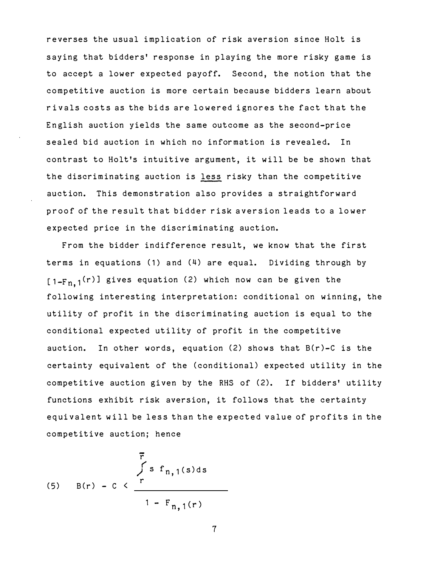reverses the usual implication of risk aversion since Holt is saving that bidders' response in playing the more risky game is to accept a lower expected payoff. Second, the notion that the competitive auction is more certain because bidders learn about rivals costs as the bids are lo wered ignores the fact that the English auction yields the same outcome as the second-price sealed bid auction in which no information is revealed. In contrast to Holt's intuitive argument, it will be be shown that the discriminating auction is less risky than the competitive auction. This demonstration also provides a straightforward proof of the result that bidder risk aversion leads to a lower expected price in the discriminating auction.

From the bidder indifference result, we know that the first terms in equations (1) and (4) are equal. Dividing through by  $[1-Fn 1<sup>(r)</sup>]$  gives equation (2) which now can be given the , following interesting interpretation: conditional on winning, the utility of profit in the discriminating auction is equal to the conditional expected utility of profit in the competitive auction. In other words, equation (2) shows that B(r)-C is the certainty equivalent of the (conditional) expected utility in the competitive auction given by the RHS of (2). If bidders' utility functions exhibit risk aversion, it follows that the certainty equivalent will be less than the expected value of profits in the competitive auction; hence

(5) 
$$
B(r) - C < \frac{r}{1 - F_{n,1}(r)}
$$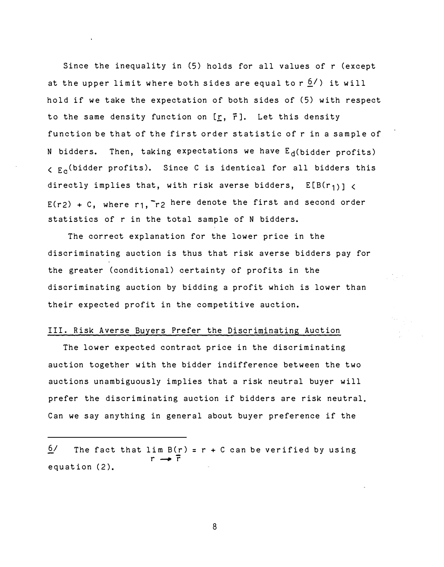Since the inequality in (5) holds for all values of r (except at the upper limit where both sides are equal to  $r \frac{6}{l}$ ) it will hold if we take the expectation of both sides of (5) with respect to the same density function on  $[r, \bar{r}]$ . Let this density function be that of the first order statistic of r in a sample of N bidders. Then, taking expectations we have  $E_d(b$ idder profits)  $\zeta$   $E_c$  (bidder profits). Since C is identical for all bidders this directly implies that, with risk averse bidders,  $E[B(r_{1})]$  $E(r_2) + C$ , where r1,  $r_2$  here denote the first and second order statistics of r in the total sample of N bidders.

The correct explanation for the lower price in the discriminating auction is thus that risk averse bidders pay for the greater (conditional) certainty of profits in the discriminating auction by bidding a profit which is lower than their expected profit in the competitive auction.

### III. Risk Averse Buyers Prefer the Discriminating Auction

The lower expected contract price in the discriminating auction together with the bidder indifference between the two auctions unambiguously implies that a risk neutral buyer will prefer the discriminating auction if bidders are risk neutral. Can we say anything in general about buyer preference if the

 $6/$  The fact that lim B(r) = r + C can be verified by using  $r \rightarrow \overline{r}$ equation (2).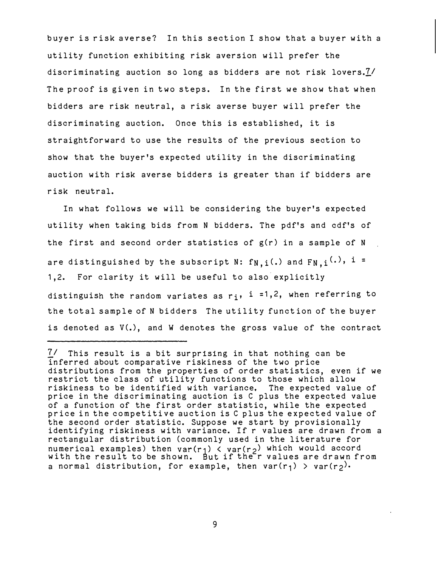buyer is risk averse? In this section I show that a buyer with a utility function exhibiting risk aversion will prefer the discriminating auction so long as bidders are not risk lovers. $\frac{7}{1}$ The proof is given in two steps. In the first we show that when bidders are risk neutral, a risk averse buyer will prefer the discriminating auction. Once this is established, it is straightforward to use the results of the previous section to show that the buyer's expected utility in the discriminating auction with risk averse bidders is greater than if bidders are risk neutral.

In what follows we will be considering the buyer's expected utility when taking bids from N bidders. The pdf's and cdf's of the first and second order statistics of g(r) in a sample of N are distinguished by the subscript N:  $f_{N,i}(.)$  and  $F_{N,i}(.)$ , i = 1,2. For clarity it will be useful to also explicitly distinguish the random variates as  $r_i$ , i =1,2, when referring to the total sample of N bidders The utility function of the buyer is denoted as V(.), and W denotes the gross value of the contract

 $var(r_1)$ But  $7/$  This result is a bit surprising in that nothing can be inferred about comparative riskiness of the two price distributions from the properties of order statistics, even if we restrict the class of utility functions to those which allow riskiness to be identified with variance, The expected value of price in the discriminating auction is C plus the expected value of a function of the first order statistic, while the expected price in the competitive auction is C plus the expected value of the second order statistic. Suppo se we start by provisionally identifying riskiness with variance. If r values are drawn from a rectangular distribution (commonly used in the literature for numerical examples) then  $var(r_1)$  <  $var(r_2)$  which would accord with the result to be shown. But if the'r values are drawn from a normal distribution, for example, then  $var(r_1) > var(r_2)$ .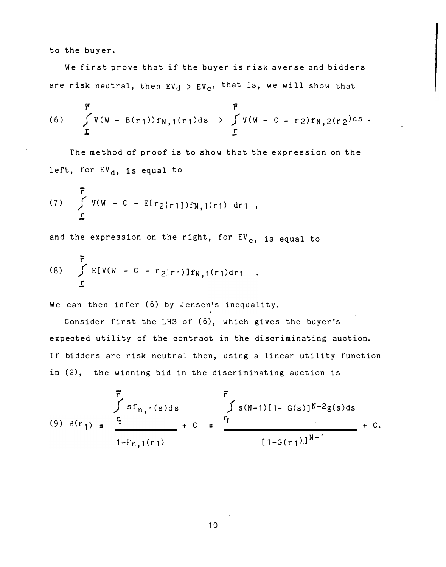to the buyer.

We first prove that if the buyer is risk averse and bidders are risk neutral, then  $EV_d > EV_c$ , that is, we will show that

(6) 
$$
\overline{r}
$$
  
\n $\overline{r}$   
\n $\overline{r}$   
\n $\overline{r}$   
\n $\overline{r}$   
\n $\overline{r}$   
\n $\overline{r}$   
\n $\overline{r}$   
\n $\overline{r}$   
\n $\overline{r}$   
\n $\overline{r}$   
\n $\overline{r}$   
\n $\overline{r}$   
\n $\overline{r}$ 

The method of proof is to show that the expression on the left, for  $EV_d$ , is equal to

(7) 
$$
\sum_{r}^{F} V(W - C - E[r_2|r_1])f_{N,1}(r_1) dr_1
$$
,

and the expression on the right, for  $EV_{c}$ , is equal to

(8) 
$$
\int_{\Gamma} \mathbb{E}[V(W - C - r_{2}|r_{1})]f_{N,1}(r_{1})dr_{1}
$$
.

We can then infer (6) by Jensen's inequality.

Consider first the LHS of (6), which gives the buyer 's expected utility of the contract in the discriminating auction. If bidders are risk neutral then, using a linear utility function in (2), the winning bid in the discriminating auction is

$$
\overrightarrow{F} \quad \overrightarrow{r}
$$
  
\n
$$
Sf_{n,1}(s)ds
$$
  
\n(9)  $B(r_1) = \frac{r_1}{1-F_{n,1}(r_1)} + C = \frac{r_1}{1-G(r_1)!^{N-1}} + C.$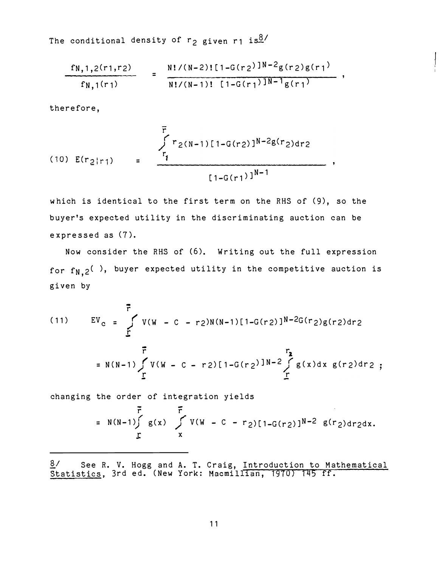The conditional density of  $r_2$  given r1 is<sup>8/</sup>

$$
\frac{f_{N,1,2}(r_1,r_2)}{f_{N,1}(r_1)} = \frac{N!/(N-2)!\left[1-G(r_2)\right]^{N-2}g(r_2)g(r_1)}{N!/(N-1)!\left[1-G(r_1)\right]^{N-1}g(r_1)},
$$

therefore,

(10) 
$$
E(r_2|r_1)
$$
 = 
$$
\frac{r_1}{r_1}
$$
 = 
$$
\frac{[1-G(r_1)]^{N-2}g(r_2)dr_2}{[1-G(r_1)]^{N-1}}
$$

which is identical to the first term on the RHS of (9), so the buyer's expected utility in the discriminating auction can be ex pre ssed as (7 ).

Now consider the RHS of (6). Writing out the full expression for  $f_{N,2}$ ( ), buyer expected utility in the competitive auction is given by

- - - r (11)  $EV_c = \int V(W - C - r_2)N(N-1)[1-G(r_2)]^{N-2}G(r_2)g(r_2)dr_2$  $\mathbf r$  $\vec{r}$  r<sub>2</sub> = N(N-1)  $\int_{r} V(W - C - r_2) [1 - G(r_2)]^{N-2} \int_{r} g(x) dx g(r_2) dr_2$ 

changing the order of integration yields

- -

= N(N-1)
$$
\int_{\Gamma}
$$
 g(x)  $\int_{X}$  V(W - C - r<sub>2</sub>)[1-G(r<sub>2</sub>)]<sup>N-2</sup> g(r<sub>2</sub>)dr<sub>2</sub>dx.

8/ Statistics, 3rd ed. (New York: Macmillian, 1970) 145 See R. V. Hogg and A. T. Craig, ff . Introduction to Mathematical 3rd ed. (New York: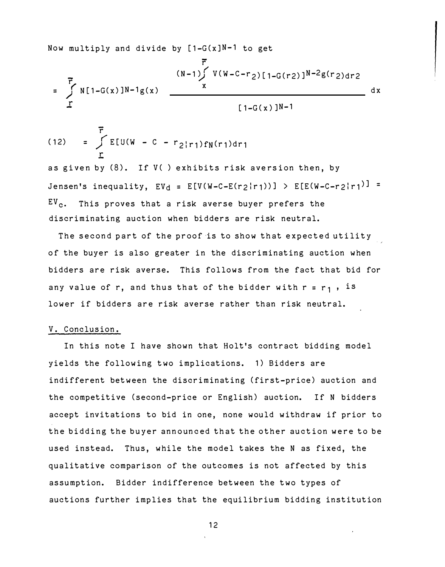Now multiply and divide by  $[1-G(x)]N-1$  to get

$$
= \int_{r}^{\overline{r}} N[1-G(x)]^{N-1}g(x) \frac{(N-1)\int_{x}^{r} V(W-C-r_{2})[1-G(r_{2})]^{N-2}g(r_{2})dr_{2}}{1-G(x)]^{N-1}}
$$
dx

(12) = 
$$
\int_{\Gamma} \mathbb{E}[U(W - C - r_2|r_1) f_N(r_1) dr_1]
$$

as given by (8). If V() exhibits risk aversion then, by Jensen's inequality,  $EV_d = E[V(W-C-E(r_2|r_1))] > E[E(W-C-r_2|r_1)] =$  $EV_{c}$ . This proves that a risk averse buyer prefers the discriminating auction when bidders are risk neutral.

The second part of the proof is to show that expected utility of the buyer is also greater in the discriminating auction when bidders are risk averse. This follows from the fact that bid for any value of r, and thus that of the bidder with  $r = r_1$ , is lower if bidders are risk averse rather than risk neutral.

#### V. Conclusion.

In this note I have shown that Holt's contract bidding model yields the following two implications. 1) Bidders are indifferent between the discriminating (first-price) auction and the competitive (second-price or English) auction. If N bidders accept invitations to bid in one, none would withdraw if prior to the bidding the buyer announced that the other auction were to be used instead. Thus, while the model takes the N as fixed, the qualitative comparison of the outcomes is not affected by this assumption. Bidder indifference between the two types of auctions further implies that the equilibrium bidding institution